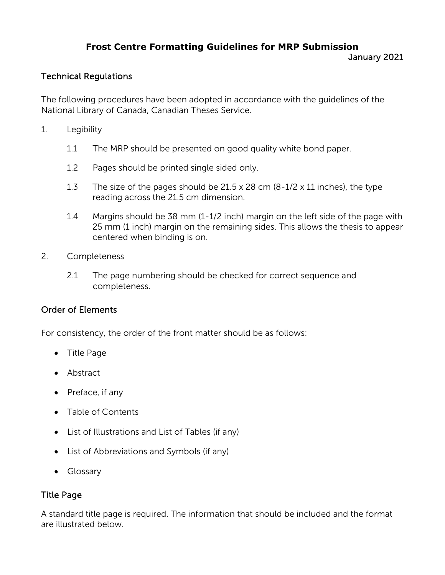# **Frost Centre Formatting Guidelines for MRP Submission** January 2021

# Technical Regulations

The following procedures have been adopted in accordance with the guidelines of the National Library of Canada, Canadian Theses Service.

- 1. Legibility
	- 1.1 The MRP should be presented on good quality white bond paper.
	- 1.2 Pages should be printed single sided only.
	- 1.3 The size of the pages should be 21.5 x 28 cm (8-1/2 x 11 inches), the type reading across the 21.5 cm dimension.
	- 1.4 Margins should be 38 mm (1-1/2 inch) margin on the left side of the page with 25 mm (1 inch) margin on the remaining sides. This allows the thesis to appear centered when binding is on.
- 2. Completeness
	- 2.1 The page numbering should be checked for correct sequence and completeness.

# Order of Elements

For consistency, the order of the front matter should be as follows:

- Title Page
- Abstract
- Preface, if any
- Table of Contents
- List of Illustrations and List of Tables (if any)
- List of Abbreviations and Symbols (if any)
- Glossary

# Title Page

A standard title page is required. The information that should be included and the format are illustrated below.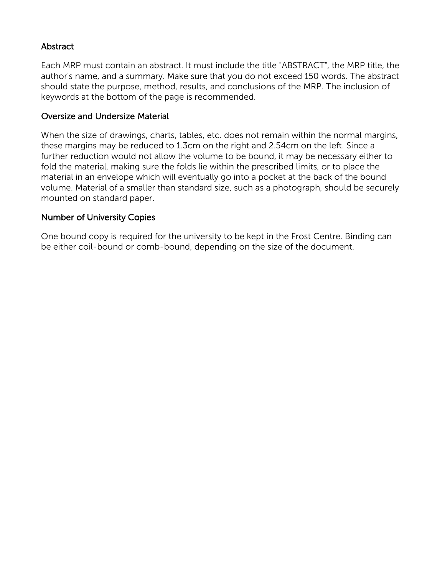# Abstract

Each MRP must contain an abstract. It must include the title "ABSTRACT", the MRP title, the author's name, and a summary. Make sure that you do not exceed 150 words. The abstract should state the purpose, method, results, and conclusions of the MRP. The inclusion of keywords at the bottom of the page is recommended.

### Oversize and Undersize Material

When the size of drawings, charts, tables, etc. does not remain within the normal margins, these margins may be reduced to 1.3cm on the right and 2.54cm on the left. Since a further reduction would not allow the volume to be bound, it may be necessary either to fold the material, making sure the folds lie within the prescribed limits, or to place the material in an envelope which will eventually go into a pocket at the back of the bound volume. Material of a smaller than standard size, such as a photograph, should be securely mounted on standard paper.

## Number of University Copies

One bound copy is required for the university to be kept in the Frost Centre. Binding can be either coil-bound or comb-bound, depending on the size of the document.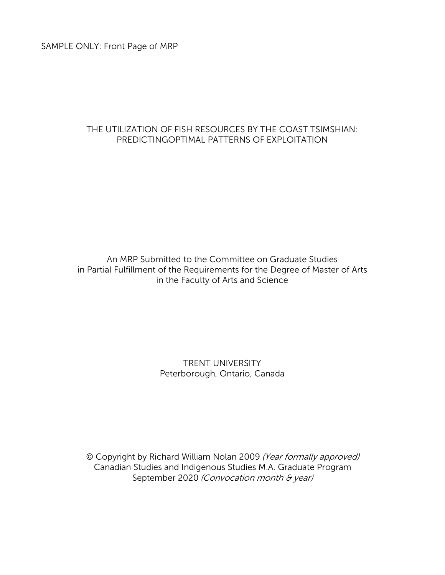SAMPLE ONLY: Front Page of MRP

## THE UTILIZATION OF FISH RESOURCES BY THE COAST TSIMSHIAN: PREDICTINGOPTIMAL PATTERNS OF EXPLOITATION

An MRP Submitted to the Committee on Graduate Studies in Partial Fulfillment of the Requirements for the Degree of Master of Arts in the Faculty of Arts and Science

# TRENT UNIVERSITY Peterborough, Ontario, Canada

© Copyright by Richard William Nolan 2009 (Year formally approved) Canadian Studies and Indigenous Studies M.A. Graduate Program September 2020 (Convocation month & year)